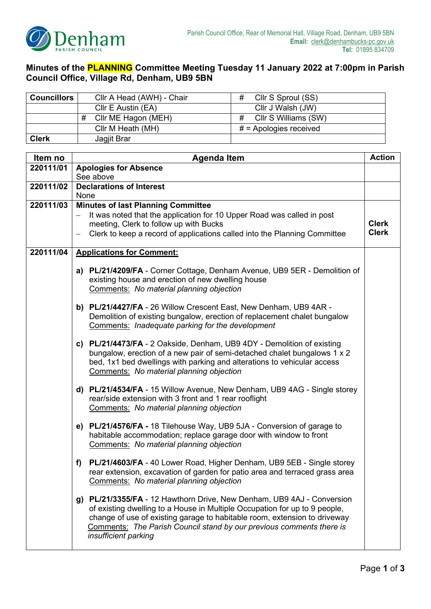

## **Minutes of the PLANNING Committee Meeting Tuesday 11 January 2022 at 7:00pm in Parish Council Office, Village Rd, Denham, UB9 5BN**

| <b>Councillors</b> | #<br>Cllr A Head (AWH) - Chair<br>Cllr S Sproul (SS)                                                                                         |                           |               |  |  |  |
|--------------------|----------------------------------------------------------------------------------------------------------------------------------------------|---------------------------|---------------|--|--|--|
|                    | Cllr E Austin (EA)                                                                                                                           | Cllr J Walsh (JW)         |               |  |  |  |
|                    | #<br>Cllr ME Hagon (MEH)                                                                                                                     | #<br>CIIr S Williams (SW) |               |  |  |  |
|                    | Cllr M Heath (MH)                                                                                                                            | $#$ = Apologies received  |               |  |  |  |
| <b>Clerk</b>       | Jagjit Brar                                                                                                                                  |                           |               |  |  |  |
|                    |                                                                                                                                              |                           |               |  |  |  |
| Item no            | <b>Agenda Item</b>                                                                                                                           |                           | <b>Action</b> |  |  |  |
| 220111/01          | <b>Apologies for Absence</b>                                                                                                                 |                           |               |  |  |  |
|                    | See above                                                                                                                                    |                           |               |  |  |  |
| 220111/02          | <b>Declarations of Interest</b>                                                                                                              |                           |               |  |  |  |
|                    | <b>None</b>                                                                                                                                  |                           |               |  |  |  |
| 220111/03          | <b>Minutes of last Planning Committee</b>                                                                                                    |                           |               |  |  |  |
|                    | It was noted that the application for 10 Upper Road was called in post<br>$\overline{\phantom{m}}$<br>meeting, Clerk to follow up with Bucks |                           |               |  |  |  |
|                    |                                                                                                                                              |                           | <b>Clerk</b>  |  |  |  |
|                    | Clerk to keep a record of applications called into the Planning Committee<br>$\overline{\phantom{0}}$                                        |                           | <b>Clerk</b>  |  |  |  |

| 220111/04 |    | <b>Applications for Comment:</b>                                                                                                                                                                      |  |
|-----------|----|-------------------------------------------------------------------------------------------------------------------------------------------------------------------------------------------------------|--|
|           | a) | <b>PL/21/4209/FA</b> - Corner Cottage, Denham Avenue, UB9 5ER - Demolition of<br>existing house and erection of new dwelling house<br>Comments: No material planning objection                        |  |
|           | b) | <b>PL/21/4427/FA</b> - 26 Willow Crescent East, New Denham, UB9 4AR -<br>Demolition of existing bungalow, erection of replacement chalet bungalow<br>Comments: Inadequate parking for the development |  |
|           |    | <b>PL/21/4473/FA</b> - 2 Oakside, Denham, UB9 4DY - Demolition of existing                                                                                                                            |  |

## **c) PL/21/4473/FA** - 2 Oakside, Denham, UB9 4DY - Demolition of existing bungalow, erection of a new pair of semi-detached chalet bungalows 1 x 2 bed, 1x1 bed dwellings with parking and alterations to vehicular access Comments: *No material planning objection*

- **d) PL/21/4534/FA** 15 Willow Avenue, New Denham, UB9 4AG Single storey rear/side extension with 3 front and 1 rear rooflight Comments: *No material planning objection*
- **e) PL/21/4576/FA -** 18 Tilehouse Way, UB9 5JA Conversion of garage to habitable accommodation; replace garage door with window to front Comments: *No material planning objection*
- **f) PL/21/4603/FA** 40 Lower Road, Higher Denham, UB9 5EB Single storey rear extension, excavation of garden for patio area and terraced grass area Comments: *No material planning objection*
- **g) PL/21/3355/FA** 12 Hawthorn Drive, New Denham, UB9 4AJ Conversion of existing dwelling to a House in Multiple Occupation for up to 9 people, change of use of existing garage to habitable room, extension to driveway Comments: *The Parish Council stand by our previous comments there is insufficient parking*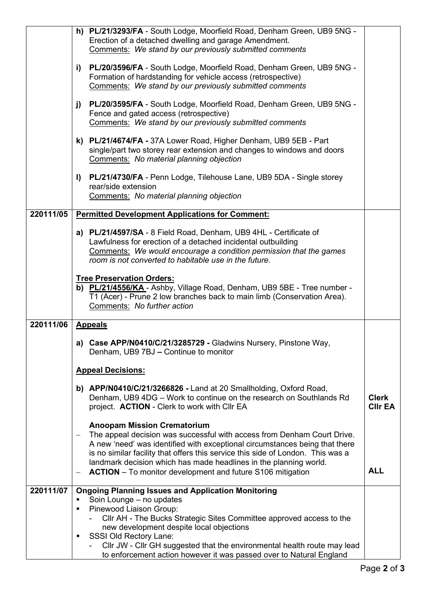|           | h) PL/21/3293/FA - South Lodge, Moorfield Road, Denham Green, UB9 5NG -<br>Erection of a detached dwelling and garage Amendment.<br>Comments: We stand by our previously submitted comments                                                                                                                                                                                                                                                                                |                                |  |  |  |
|-----------|----------------------------------------------------------------------------------------------------------------------------------------------------------------------------------------------------------------------------------------------------------------------------------------------------------------------------------------------------------------------------------------------------------------------------------------------------------------------------|--------------------------------|--|--|--|
|           | PL/20/3596/FA - South Lodge, Moorfield Road, Denham Green, UB9 5NG -<br>i)<br>Formation of hardstanding for vehicle access (retrospective)<br>Comments: We stand by our previously submitted comments                                                                                                                                                                                                                                                                      |                                |  |  |  |
|           | PL/20/3595/FA - South Lodge, Moorfield Road, Denham Green, UB9 5NG -<br>j)<br>Fence and gated access (retrospective)<br>Comments: We stand by our previously submitted comments                                                                                                                                                                                                                                                                                            |                                |  |  |  |
|           | k) PL/21/4674/FA - 37A Lower Road, Higher Denham, UB9 5EB - Part<br>single/part two storey rear extension and changes to windows and doors<br>Comments: No material planning objection                                                                                                                                                                                                                                                                                     |                                |  |  |  |
|           | PL/21/4730/FA - Penn Lodge, Tilehouse Lane, UB9 5DA - Single storey<br>$\mathbf{I}$<br>rear/side extension<br>Comments: No material planning objection                                                                                                                                                                                                                                                                                                                     |                                |  |  |  |
| 220111/05 | <b>Permitted Development Applications for Comment:</b>                                                                                                                                                                                                                                                                                                                                                                                                                     |                                |  |  |  |
|           | a) PL/21/4597/SA - 8 Field Road, Denham, UB9 4HL - Certificate of<br>Lawfulness for erection of a detached incidental outbuilding<br>Comments: We would encourage a condition permission that the games<br>room is not converted to habitable use in the future.                                                                                                                                                                                                           |                                |  |  |  |
|           | <b>Tree Preservation Orders:</b><br>b) PL/21/4556/KA - Ashby, Village Road, Denham, UB9 5BE - Tree number -<br>T1 (Acer) - Prune 2 low branches back to main limb (Conservation Area).<br>Comments: No further action                                                                                                                                                                                                                                                      |                                |  |  |  |
| 220111/06 | <b>Appeals</b>                                                                                                                                                                                                                                                                                                                                                                                                                                                             |                                |  |  |  |
|           | a) Case APP/N0410/C/21/3285729 - Gladwins Nursery, Pinstone Way,<br>Denham, UB9 7BJ – Continue to monitor                                                                                                                                                                                                                                                                                                                                                                  |                                |  |  |  |
|           | <b>Appeal Decisions:</b>                                                                                                                                                                                                                                                                                                                                                                                                                                                   |                                |  |  |  |
|           | b) APP/N0410/C/21/3266826 - Land at 20 Smallholding, Oxford Road,<br>Denham, UB9 4DG - Work to continue on the research on Southlands Rd<br>project. ACTION - Clerk to work with Cllr EA                                                                                                                                                                                                                                                                                   | <b>Clerk</b><br><b>CIIr EA</b> |  |  |  |
|           | <b>Anoopam Mission Crematorium</b><br>The appeal decision was successful with access from Denham Court Drive.<br>$\overline{\phantom{m}}$<br>A new 'need' was identified with exceptional circumstances being that there<br>is no similar facility that offers this service this side of London. This was a<br>landmark decision which has made headlines in the planning world.<br><b>ACTION</b> – To monitor development and future S106 mitigation<br>$\qquad \qquad -$ | <b>ALL</b>                     |  |  |  |
| 220111/07 | <b>Ongoing Planning Issues and Application Monitoring</b>                                                                                                                                                                                                                                                                                                                                                                                                                  |                                |  |  |  |
|           | Soin Lounge - no updates<br>Pinewood Liaison Group:<br>$\blacksquare$<br>CIIr AH - The Bucks Strategic Sites Committee approved access to the<br>new development despite local objections<br><b>SSSI Old Rectory Lane:</b><br>٠<br>Cllr JW - Cllr GH suggested that the environmental health route may lead                                                                                                                                                                |                                |  |  |  |
|           | to enforcement action however it was passed over to Natural England                                                                                                                                                                                                                                                                                                                                                                                                        |                                |  |  |  |